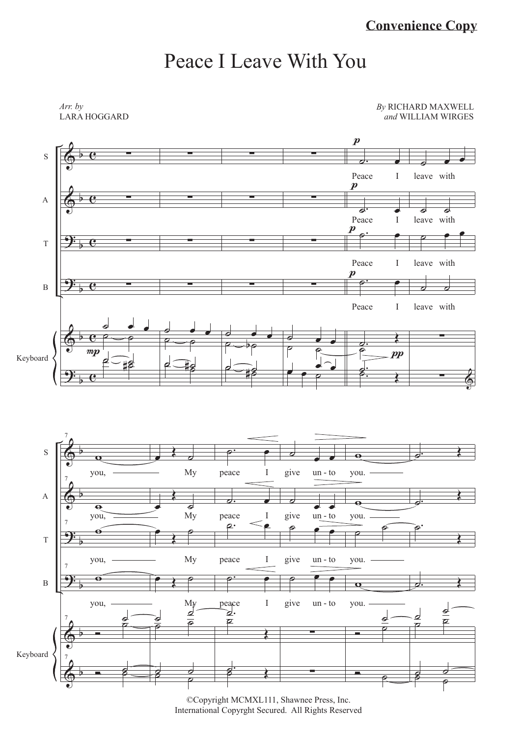## Peace I Leave With You

*Arr. by* LARA HOGGARD *By* RICHARD MAXWELL *and* WILLIAM WIRGES



©Copyright MCMXL111, Shawnee Press, Inc. International Copyrght Secured. All Rights Reserved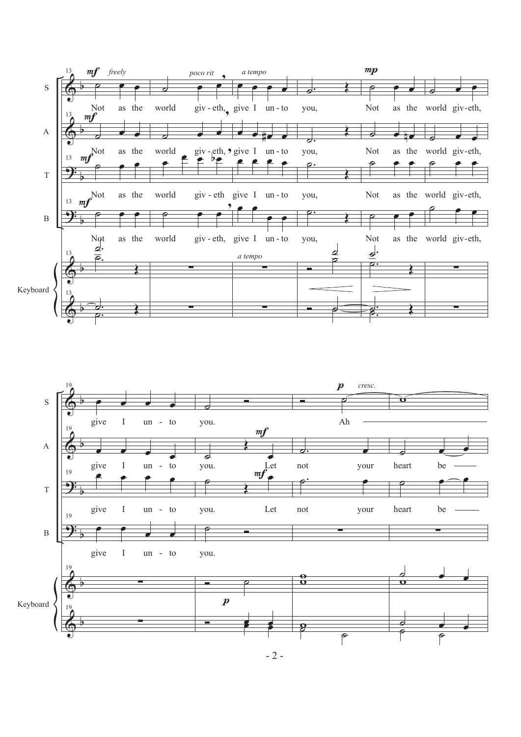



 $-2-$